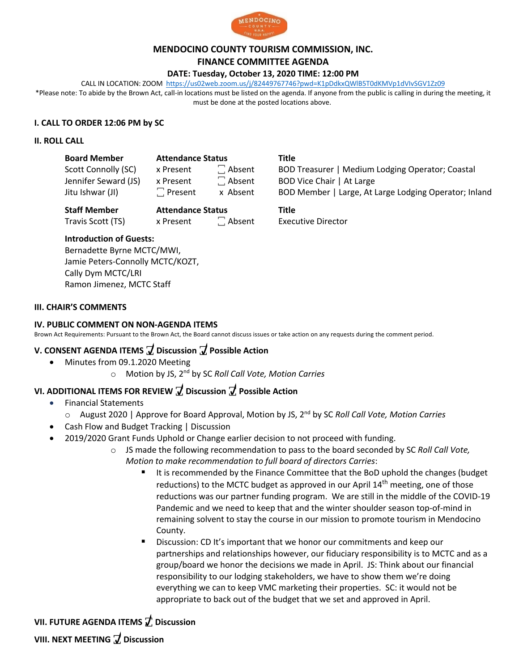

#### **MENDOCINO COUNTY TOURISM COMMISSION, INC.**

**FINANCE COMMITTEE AGENDA**

#### **DATE: Tuesday, October 13, 2020 TIME: 12:00 PM**

CALL IN LOCATION: ZOOM https://us02web.zoom.us/j/82449767746?pwd=K1pDdkxQWlB5T0dKMVp1dVIvSGV1Zz09

\*Please note: To abide by the Brown Act, call-in locations must be listed on the agenda. If anyone from the public is calling in during the meeting, it must be done at the posted locations above.

## **I. CALL TO ORDER 12:06 PM by SC**

### **II. ROLL CALL**

| <b>Board Member</b> |  |
|---------------------|--|
|---------------------|--|

| <b>Board Member</b>  | <b>Attendance Status</b> |               | Title                         |
|----------------------|--------------------------|---------------|-------------------------------|
| Scott Connolly (SC)  | x Present                | $\Box$ Absent | <b>BOD Treasurer   Medium</b> |
| Jennifer Seward (JS) | x Present                | $\Box$ Absent | BOD Vice Chair   At Large     |
| Jitu Ishwar (JI)     | $\Box$ Present           | x Absent      | BOD Member   Large, At I      |

**Staff Member Attendance Status Title**

Travis Scott (TS) x Present <br>  $\begin{array}{ccc} \hline \end{array}$  Absent Executive Director

Scott Connolly (SC) x Present  $\Box$  Absent BOD Treasurer | Medium Lodging Operator; Coastal Jitu Ishwar (JI)  $\Box$  Present x Absent BOD Member | Large, At Large Lodging Operator; Inland

# **Introduction of Guests:**

Bernadette Byrne MCTC/MWI, Jamie Peters-Connolly MCTC/KOZT, Cally Dym MCTC/LRI Ramon Jimenez, MCTC Staff

### **III. CHAIR'S COMMENTS**

## **IV. PUBLIC COMMENT ON NON-AGENDA ITEMS**

Brown Act Requirements: Pursuant to the Brown Act, the Board cannot discuss issues or take action on any requests during the comment period.

# **V. CONSENT AGENDA ITEMS ꙱ Discussion ꙱ Possible Action**

- Minutes from 09.1.2020 Meeting
	- o Motion by JS, 2nd by SC *Roll Call Vote, Motion Carries*

# **VI. ADDITIONAL ITEMS FOR REVIEW ꙱ Discussion ꙱ Possible Action**

- Financial Statements
	- o August 2020 | Approve for Board Approval, Motion by JS, 2nd by SC *Roll Call Vote, Motion Carries*
- Cash Flow and Budget Tracking | Discussion
- 2019/2020 Grant Funds Uphold or Change earlier decision to not proceed with funding.
	- o JS made the following recommendation to pass to the board seconded by SC *Roll Call Vote, Motion to make recommendation to full board of directors Carries*:
		- It is recommended by the Finance Committee that the BoD uphold the changes (budget reductions) to the MCTC budget as approved in our April  $14<sup>th</sup>$  meeting, one of those reductions was our partner funding program. We are still in the middle of the COVID-19 Pandemic and we need to keep that and the winter shoulder season top-of-mind in remaining solvent to stay the course in our mission to promote tourism in Mendocino County.
		- § Discussion: CD It's important that we honor our commitments and keep our partnerships and relationships however, our fiduciary responsibility is to MCTC and as a group/board we honor the decisions we made in April. JS: Think about our financial responsibility to our lodging stakeholders, we have to show them we're doing everything we can to keep VMC marketing their properties. SC: it would not be appropriate to back out of the budget that we set and approved in April.

# **VII. FUTURE AGENDA ITEMS ꙱ Discussion**

**VIII. NEXT MEETING ꙱ Discussion**